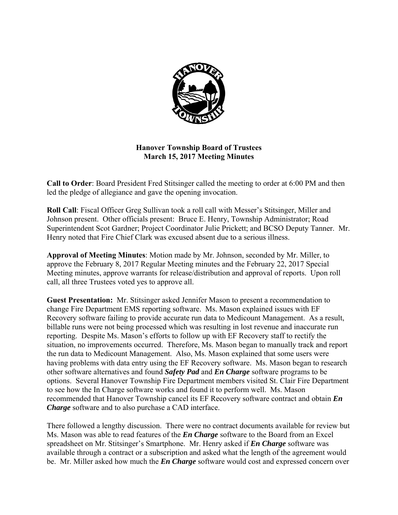

# **Hanover Township Board of Trustees March 15, 2017 Meeting Minutes**

**Call to Order**: Board President Fred Stitsinger called the meeting to order at 6:00 PM and then led the pledge of allegiance and gave the opening invocation.

**Roll Call**: Fiscal Officer Greg Sullivan took a roll call with Messer's Stitsinger, Miller and Johnson present. Other officials present: Bruce E. Henry, Township Administrator; Road Superintendent Scot Gardner; Project Coordinator Julie Prickett; and BCSO Deputy Tanner. Mr. Henry noted that Fire Chief Clark was excused absent due to a serious illness.

**Approval of Meeting Minutes**: Motion made by Mr. Johnson, seconded by Mr. Miller, to approve the February 8, 2017 Regular Meeting minutes and the February 22, 2017 Special Meeting minutes, approve warrants for release/distribution and approval of reports. Upon roll call, all three Trustees voted yes to approve all.

**Guest Presentation:** Mr. Stitsinger asked Jennifer Mason to present a recommendation to change Fire Department EMS reporting software. Ms. Mason explained issues with EF Recovery software failing to provide accurate run data to Medicount Management. As a result, billable runs were not being processed which was resulting in lost revenue and inaccurate run reporting. Despite Ms. Mason's efforts to follow up with EF Recovery staff to rectify the situation, no improvements occurred. Therefore, Ms. Mason began to manually track and report the run data to Medicount Management. Also, Ms. Mason explained that some users were having problems with data entry using the EF Recovery software. Ms. Mason began to research other software alternatives and found *Safety Pad* and *En Charge* software programs to be options. Several Hanover Township Fire Department members visited St. Clair Fire Department to see how the In Charge software works and found it to perform well. Ms. Mason recommended that Hanover Township cancel its EF Recovery software contract and obtain *En Charge* software and to also purchase a CAD interface.

There followed a lengthy discussion. There were no contract documents available for review but Ms. Mason was able to read features of the *En Charge* software to the Board from an Excel spreadsheet on Mr. Stitsinger's Smartphone. Mr. Henry asked if *En Charge* software was available through a contract or a subscription and asked what the length of the agreement would be. Mr. Miller asked how much the *En Charge* software would cost and expressed concern over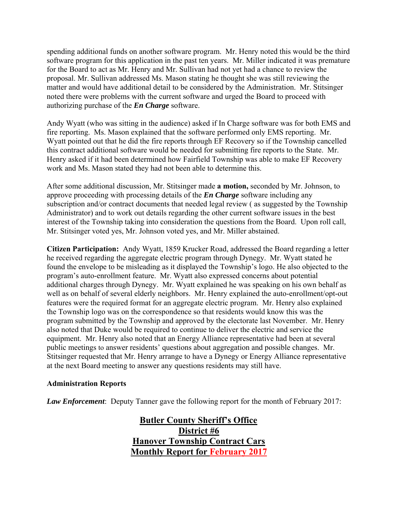spending additional funds on another software program. Mr. Henry noted this would be the third software program for this application in the past ten years. Mr. Miller indicated it was premature for the Board to act as Mr. Henry and Mr. Sullivan had not yet had a chance to review the proposal. Mr. Sullivan addressed Ms. Mason stating he thought she was still reviewing the matter and would have additional detail to be considered by the Administration. Mr. Stitsinger noted there were problems with the current software and urged the Board to proceed with authorizing purchase of the *En Charge* software.

Andy Wyatt (who was sitting in the audience) asked if In Charge software was for both EMS and fire reporting. Ms. Mason explained that the software performed only EMS reporting. Mr. Wyatt pointed out that he did the fire reports through EF Recovery so if the Township cancelled this contract additional software would be needed for submitting fire reports to the State. Mr. Henry asked if it had been determined how Fairfield Township was able to make EF Recovery work and Ms. Mason stated they had not been able to determine this.

After some additional discussion, Mr. Stitsinger made **a motion,** seconded by Mr. Johnson, to approve proceeding with processing details of the *En Charge* software including any subscription and/or contract documents that needed legal review ( as suggested by the Township Administrator) and to work out details regarding the other current software issues in the best interest of the Township taking into consideration the questions from the Board. Upon roll call, Mr. Stitsinger voted yes, Mr. Johnson voted yes, and Mr. Miller abstained.

**Citizen Participation:** Andy Wyatt, 1859 Krucker Road, addressed the Board regarding a letter he received regarding the aggregate electric program through Dynegy. Mr. Wyatt stated he found the envelope to be misleading as it displayed the Township's logo. He also objected to the program's auto-enrollment feature. Mr. Wyatt also expressed concerns about potential additional charges through Dynegy. Mr. Wyatt explained he was speaking on his own behalf as well as on behalf of several elderly neighbors. Mr. Henry explained the auto-enrollment/opt-out features were the required format for an aggregate electric program. Mr. Henry also explained the Township logo was on the correspondence so that residents would know this was the program submitted by the Township and approved by the electorate last November. Mr. Henry also noted that Duke would be required to continue to deliver the electric and service the equipment. Mr. Henry also noted that an Energy Alliance representative had been at several public meetings to answer residents' questions about aggregation and possible changes. Mr. Stitsinger requested that Mr. Henry arrange to have a Dynegy or Energy Alliance representative at the next Board meeting to answer any questions residents may still have.

## **Administration Reports**

*Law Enforcement*: Deputy Tanner gave the following report for the month of February 2017:

 **Butler County Sheriff's Office District #6 Hanover Township Contract Cars Monthly Report for February 2017**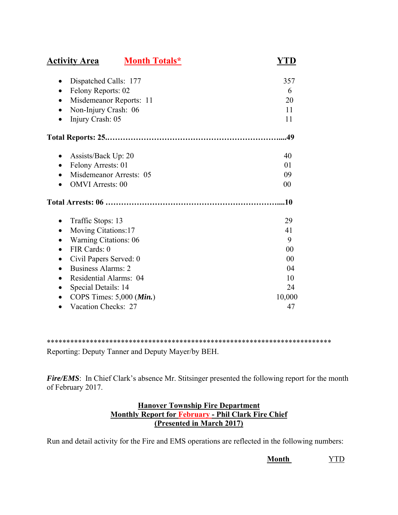| <b>Activity Area</b>                             | <b>Month Totals*</b> | YTD    |
|--------------------------------------------------|----------------------|--------|
| Dispatched Calls: 177                            |                      | 357    |
| Felony Reports: 02                               |                      | 6      |
| Misdemeanor Reports: 11                          |                      | 20     |
| Non-Injury Crash: 06                             |                      | 11     |
| Injury Crash: 05                                 |                      | 11     |
|                                                  |                      | .49    |
| Assists/Back Up: 20<br>$\bullet$                 |                      | 40     |
| Felony Arrests: 01<br>$\bullet$                  |                      | 01     |
| Misdemeanor Arrests: 05                          |                      | 09     |
| <b>OMVI</b> Arrests: 00                          |                      | 00     |
|                                                  |                      | .10    |
| Traffic Stops: 13<br>$\bullet$                   |                      | 29     |
| Moving Citations:17                              |                      | 41     |
| <b>Warning Citations: 06</b>                     |                      | 9      |
| FIR Cards: 0<br>$\bullet$                        |                      | 00     |
| Civil Papers Served: 0<br>$\bullet$              |                      | 00     |
| <b>Business Alarms: 2</b>                        |                      | 04     |
| Residential Alarms: 04                           |                      | 10     |
| Special Details: 14                              |                      | 24     |
| COPS Times: $5,000$ ( <i>Min.</i> )<br>$\bullet$ |                      | 10,000 |
| Vacation Checks: 27                              |                      | 47     |

\*\*\*\*\*\*\*\*\*\*\*\*\*\*\*\*\*\*\*\*\*\*\*\*\*\*\*\*\*\*\*\*\*\*\*\*\*\*\*\*\*\*\*\*\*\*\*\*\*\*\*\*\*\*\*\*\*\*\*\*\*\*\*\*\*\*\*\*\*\*\*\*\*

Reporting: Deputy Tanner and Deputy Mayer/by BEH.

*Fire/EMS*: In Chief Clark's absence Mr. Stitsinger presented the following report for the month of February 2017.

# **Hanover Township Fire Department Monthly Report for February - Phil Clark Fire Chief (Presented in March 2017)**

Run and detail activity for the Fire and EMS operations are reflected in the following numbers:

**Month** YTD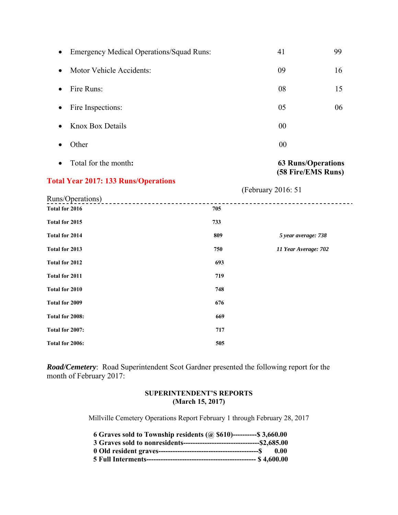| Total for the month:<br>٠             |                                                 | <b>63 Runs/Operations</b><br>(58 Fire/EMS Runs) |    |
|---------------------------------------|-------------------------------------------------|-------------------------------------------------|----|
| Other                                 |                                                 | 00                                              |    |
| <b>Knox Box Details</b><br>$\bullet$  |                                                 | 00                                              |    |
| Fire Inspections:<br>$\bullet$        |                                                 | 05                                              | 06 |
| Fire Runs:<br>$\bullet$               |                                                 | 08                                              | 15 |
| Motor Vehicle Accidents:<br>$\bullet$ |                                                 | 09                                              | 16 |
| $\bullet$                             | <b>Emergency Medical Operations/Squad Runs:</b> | 41                                              | 99 |

### **Total Year 2017: 133 Runs/Operations**

 (February 2016: 51 Runs/Operations) \_\_\_\_\_\_\_\_\_\_\_\_\_\_\_\_\_\_\_\_\_\_\_\_ -----------------------------------**Total for 2016** 705 **Total for 2015 733 Total for 2014 809** *5 year average: 738* **Total for 2013 750** *11 Year Average: 702* **Total for 2012 693 Total for 2011 719 Total for 2010** 748 Total for 2009 676 **Total for 2008: 669 Total for 2007: 717 Total for 2006: 505** 

*Road/Cemetery*: Road Superintendent Scot Gardner presented the following report for the month of February 2017:

### **SUPERINTENDENT'S REPORTS (March 15, 2017)**

Millville Cemetery Operations Report February 1 through February 28, 2017

| 6 Graves sold to Township residents ( $\omega$ \$610)----------\$ 3,660.00 |      |
|----------------------------------------------------------------------------|------|
|                                                                            |      |
|                                                                            | 0.00 |
|                                                                            |      |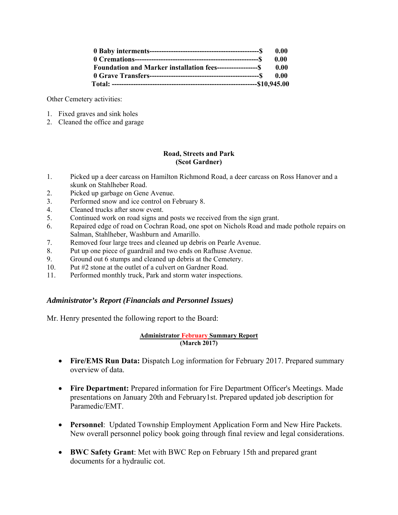| 0.00 |
|------|
| 0.00 |
| 0.00 |
| 0.00 |
|      |

Other Cemetery activities:

- 1. Fixed graves and sink holes
- 2. Cleaned the office and garage

### **Road, Streets and Park (Scot Gardner)**

- 1. Picked up a deer carcass on Hamilton Richmond Road, a deer carcass on Ross Hanover and a skunk on Stahlheber Road.
- 2. Picked up garbage on Gene Avenue.
- 3. Performed snow and ice control on February 8.
- 4. Cleaned trucks after snow event.
- 5. Continued work on road signs and posts we received from the sign grant.
- 6. Repaired edge of road on Cochran Road, one spot on Nichols Road and made pothole repairs on Salman, Stahlheber, Washburn and Amarillo.
- 7. Removed four large trees and cleaned up debris on Pearle Avenue.
- 8. Put up one piece of guardrail and two ends on Rafhuse Avenue.
- 9. Ground out 6 stumps and cleaned up debris at the Cemetery.
- 10. Put #2 stone at the outlet of a culvert on Gardner Road.
- 11. Performed monthly truck, Park and storm water inspections.

### *Administrator's Report (Financials and Personnel Issues)*

Mr. Henry presented the following report to the Board:

### **Administrator February Summary Report (March 2017)**

- **Fire/EMS Run Data:** Dispatch Log information for February 2017. Prepared summary overview of data.
- **Fire Department:** Prepared information for Fire Department Officer's Meetings. Made presentations on January 20th and February1st. Prepared updated job description for Paramedic/EMT.
- **Personnel**: Updated Township Employment Application Form and New Hire Packets. New overall personnel policy book going through final review and legal considerations.
- **BWC Safety Grant**: Met with BWC Rep on February 15th and prepared grant documents for a hydraulic cot.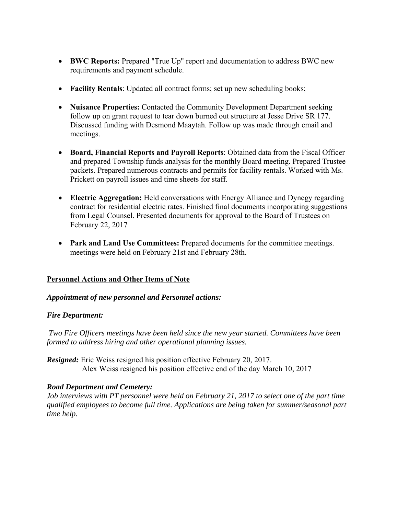- **BWC Reports:** Prepared "True Up" report and documentation to address BWC new requirements and payment schedule.
- **Facility Rentals**: Updated all contract forms; set up new scheduling books;
- **Nuisance Properties:** Contacted the Community Development Department seeking follow up on grant request to tear down burned out structure at Jesse Drive SR 177. Discussed funding with Desmond Maaytah. Follow up was made through email and meetings.
- **Board, Financial Reports and Payroll Reports**: Obtained data from the Fiscal Officer and prepared Township funds analysis for the monthly Board meeting. Prepared Trustee packets. Prepared numerous contracts and permits for facility rentals. Worked with Ms. Prickett on payroll issues and time sheets for staff.
- **Electric Aggregation:** Held conversations with Energy Alliance and Dynegy regarding contract for residential electric rates. Finished final documents incorporating suggestions from Legal Counsel. Presented documents for approval to the Board of Trustees on February 22, 2017
- **Park and Land Use Committees:** Prepared documents for the committee meetings. meetings were held on February 21st and February 28th.

# **Personnel Actions and Other Items of Note**

# *Appointment of new personnel and Personnel actions:*

## *Fire Department:*

*Two Fire Officers meetings have been held since the new year started. Committees have been formed to address hiring and other operational planning issues.* 

*Resigned:* Eric Weiss resigned his position effective February 20, 2017. Alex Weiss resigned his position effective end of the day March 10, 2017

## *Road Department and Cemetery:*

*Job interviews with PT personnel were held on February 21, 2017 to select one of the part time qualified employees to become full time. Applications are being taken for summer/seasonal part time help.*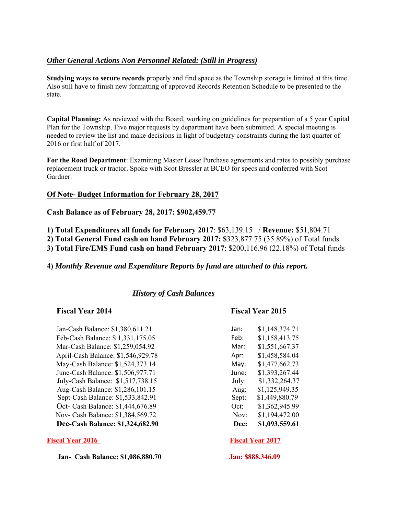# *Other General Actions Non Personnel Related: (Still in Progress)*

**Studying ways to secure records** properly and find space as the Township storage is limited at this time. Also still have to finish new formatting of approved Records Retention Schedule to be presented to the state.

**Capital Planning:** As reviewed with the Board, working on guidelines for preparation of a 5 year Capital Plan for the Township. Five major requests by department have been submitted. A special meeting is needed to review the list and make decisions in light of budgetary constraints during the last quarter of 2016 or first half of 2017.

**For the Road Department**: Examining Master Lease Purchase agreements and rates to possibly purchase replacement truck or tractor. Spoke with Scot Bressler at BCEO for specs and conferred with Scot Gardner.

## **Of Note- Budget Information for February 28, 2017**

**Cash Balance as of February 28, 2017: \$902,459.77** 

**1) Total Expenditures all funds for February 2017**: \$63,139.15 / **Revenue:** \$51,804.71

**2) Total General Fund cash on hand February 2017: \$**323,877.75 (35.89%) of Total funds

**3) Total Fire/EMS Fund cash on hand February 2017**: \$200,116.96 (22.18%) of Total funds

## **4)** *Monthly Revenue and Expenditure Reports by fund are attached to this report.*

# *History of Cash Balances*

## **Fiscal Year 2014 Fiscal Year 2015**

Jan-Cash Balance: \$1,380,611.21 Feb-Cash Balance: \$ 1,331,175.05 Feb: \$1,158,413.75 Mar-Cash Balance: \$1,259,054.92 April-Cash Balance: \$1,546,929.78 May-Cash Balance: \$1,524,373.14 June-Cash Balance: \$1,506,977.71 July-Cash Balance: \$1,517,738.15 Aug-Cash Balance: \$1,286,101.15 Sept-Cash Balance: \$1,533,842.91 Oct- Cash Balance: \$1,444,676.89 Nov- Cash Balance: \$1,384,569.72 **Dec-Cash Balance: \$1,324,682.90** 

### **Fiscal Year 2016** Fiscal Year 2017

 **Jan- Cash Balance: \$1,086,880.70 Jan: \$888,346.09**

| Jan:  | \$1,148,374.71 |
|-------|----------------|
| Feb:  | \$1,158,413.75 |
| Mar:  | \$1,551,667.37 |
| Apr:  | \$1,458,584.04 |
| May:  | \$1,477,662.73 |
| June: | \$1,393,267.44 |
| July: | \$1,332,264.37 |
| Aug:  | \$1,125,949.35 |
| Sept: | \$1,449,880.79 |
| Oct:  | \$1,362,945.99 |
| Nov:  | \$1,194,472.00 |
| Dec:  | \$1,093,559.61 |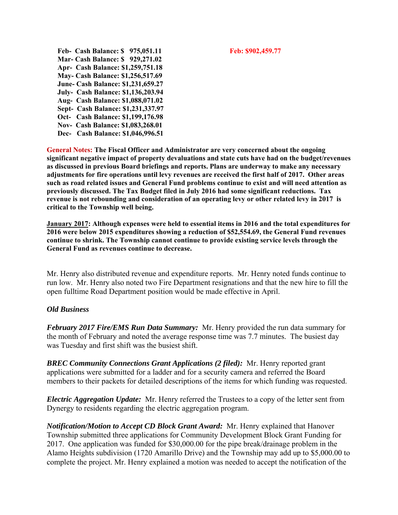**Feb- Cash Balance: \$ 975,051.11 Feb: \$902,459.77 Mar- Cash Balance: \$ 929,271.02 Apr- Cash Balance: \$1,259,751.18 May- Cash Balance: \$1,256,517.69 June- Cash Balance: \$1,231,659.27 July- Cash Balance: \$1,136,203.94 Aug- Cash Balance: \$1,088,071.02 Sept- Cash Balance: \$1,231,337.97 Oct- Cash Balance: \$1,199,176.98 Nov- Cash Balance: \$1,083,268.01 Dec- Cash Balance: \$1,046,996.51** 

**General Notes: The Fiscal Officer and Administrator are very concerned about the ongoing significant negative impact of property devaluations and state cuts have had on the budget/revenues as discussed in previous Board briefings and reports. Plans are underway to make any necessary adjustments for fire operations until levy revenues are received the first half of 2017. Other areas such as road related issues and General Fund problems continue to exist and will need attention as previously discussed. The Tax Budget filed in July 2016 had some significant reductions. Tax revenue is not rebounding and consideration of an operating levy or other related levy in 2017 is critical to the Township well being.** 

**January 2017: Although expenses were held to essential items in 2016 and the total expenditures for 2016 were below 2015 expenditures showing a reduction of \$52,554.69, the General Fund revenues continue to shrink. The Township cannot continue to provide existing service levels through the General Fund as revenues continue to decrease.** 

Mr. Henry also distributed revenue and expenditure reports. Mr. Henry noted funds continue to run low. Mr. Henry also noted two Fire Department resignations and that the new hire to fill the open fulltime Road Department position would be made effective in April.

## *Old Business*

*February 2017 Fire/EMS Run Data Summary:* Mr. Henry provided the run data summary for the month of February and noted the average response time was 7.7 minutes. The busiest day was Tuesday and first shift was the busiest shift.

*BREC Community Connections Grant Applications (2 filed):* Mr. Henry reported grant applications were submitted for a ladder and for a security camera and referred the Board members to their packets for detailed descriptions of the items for which funding was requested.

*Electric Aggregation Update:* Mr. Henry referred the Trustees to a copy of the letter sent from Dynergy to residents regarding the electric aggregation program.

*Notification/Motion to Accept CD Block Grant Award:* Mr. Henry explained that Hanover Township submitted three applications for Community Development Block Grant Funding for 2017. One application was funded for \$30,000.00 for the pipe break/drainage problem in the Alamo Heights subdivision (1720 Amarillo Drive) and the Township may add up to \$5,000.00 to complete the project. Mr. Henry explained a motion was needed to accept the notification of the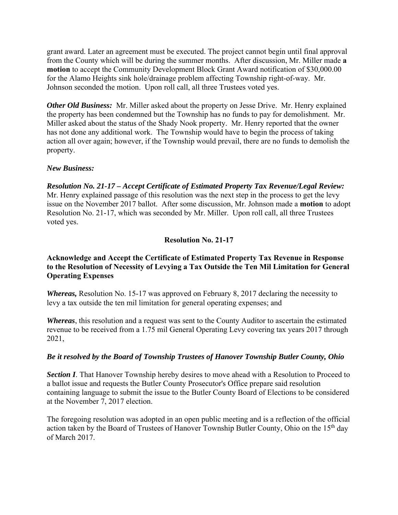grant award. Later an agreement must be executed. The project cannot begin until final approval from the County which will be during the summer months. After discussion, Mr. Miller made **a motion** to accept the Community Development Block Grant Award notification of \$30,000.00 for the Alamo Heights sink hole/drainage problem affecting Township right-of-way. Mr. Johnson seconded the motion. Upon roll call, all three Trustees voted yes.

*Other Old Business:* Mr. Miller asked about the property on Jesse Drive. Mr. Henry explained the property has been condemned but the Township has no funds to pay for demolishment. Mr. Miller asked about the status of the Shady Nook property. Mr. Henry reported that the owner has not done any additional work. The Township would have to begin the process of taking action all over again; however, if the Township would prevail, there are no funds to demolish the property.

## *New Business:*

*Resolution No. 21-17 – Accept Certificate of Estimated Property Tax Revenue/Legal Review:*  Mr. Henry explained passage of this resolution was the next step in the process to get the levy issue on the November 2017 ballot. After some discussion, Mr. Johnson made a **motion** to adopt Resolution No. 21-17, which was seconded by Mr. Miller. Upon roll call, all three Trustees voted yes.

## **Resolution No. 21-17**

## **Acknowledge and Accept the Certificate of Estimated Property Tax Revenue in Response to the Resolution of Necessity of Levying a Tax Outside the Ten Mil Limitation for General Operating Expenses**

*Whereas,* Resolution No. 15-17 was approved on February 8, 2017 declaring the necessity to levy a tax outside the ten mil limitation for general operating expenses; and

*Whereas*, this resolution and a request was sent to the County Auditor to ascertain the estimated revenue to be received from a 1.75 mil General Operating Levy covering tax years 2017 through 2021,

## *Be it resolved by the Board of Township Trustees of Hanover Township Butler County, Ohio*

**Section I**. That Hanover Township hereby desires to move ahead with a Resolution to Proceed to a ballot issue and requests the Butler County Prosecutor's Office prepare said resolution containing language to submit the issue to the Butler County Board of Elections to be considered at the November 7, 2017 election.

The foregoing resolution was adopted in an open public meeting and is a reflection of the official action taken by the Board of Trustees of Hanover Township Butler County, Ohio on the 15<sup>th</sup> day of March 2017.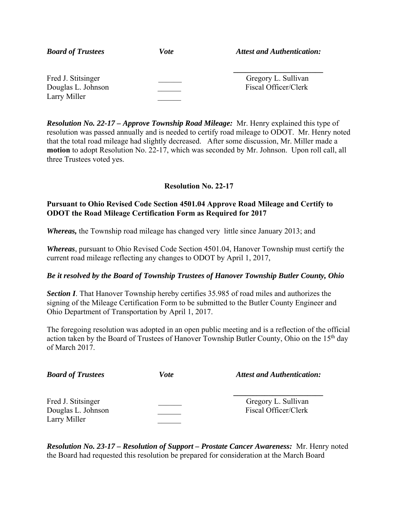| <b>Board of Trustees</b>                                 | <i>Vote</i> | <b>Attest and Authentication:</b>           |
|----------------------------------------------------------|-------------|---------------------------------------------|
| Fred J. Stitsinger<br>Douglas L. Johnson<br>Larry Miller |             | Gregory L. Sullivan<br>Fiscal Officer/Clerk |

*Resolution No. 22-17 – Approve Township Road Mileage:* Mr. Henry explained this type of resolution was passed annually and is needed to certify road mileage to ODOT. Mr. Henry noted that the total road mileage had slightly decreased. After some discussion, Mr. Miller made a **motion** to adopt Resolution No. 22-17, which was seconded by Mr. Johnson. Upon roll call, all three Trustees voted yes.

# **Resolution No. 22-17**

## **Pursuant to Ohio Revised Code Section 4501.04 Approve Road Mileage and Certify to ODOT the Road Mileage Certification Form as Required for 2017**

*Whereas,* the Township road mileage has changed very little since January 2013; and

*Whereas*, pursuant to Ohio Revised Code Section 4501.04, Hanover Township must certify the current road mileage reflecting any changes to ODOT by April 1, 2017,

# *Be it resolved by the Board of Township Trustees of Hanover Township Butler County, Ohio*

**Section I**. That Hanover Township hereby certifies 35.985 of road miles and authorizes the signing of the Mileage Certification Form to be submitted to the Butler County Engineer and Ohio Department of Transportation by April 1, 2017.

The foregoing resolution was adopted in an open public meeting and is a reflection of the official action taken by the Board of Trustees of Hanover Township Butler County, Ohio on the 15<sup>th</sup> day of March 2017.

| <b>Board of Trustees</b>                                 | Vote | <b>Attest and Authentication:</b>           |
|----------------------------------------------------------|------|---------------------------------------------|
| Fred J. Stitsinger<br>Douglas L. Johnson<br>Larry Miller |      | Gregory L. Sullivan<br>Fiscal Officer/Clerk |

*Resolution No. 23-17 – Resolution of Support – Prostate Cancer Awareness:* Mr. Henry noted the Board had requested this resolution be prepared for consideration at the March Board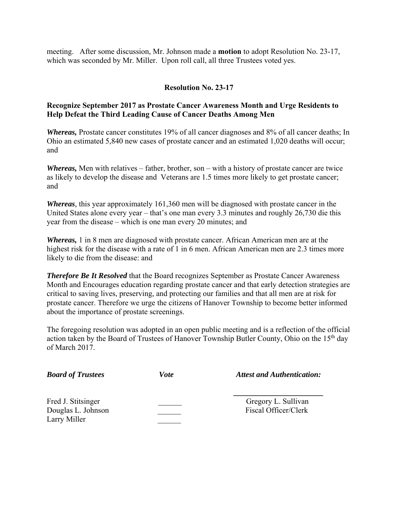meeting. After some discussion, Mr. Johnson made a **motion** to adopt Resolution No. 23-17, which was seconded by Mr. Miller. Upon roll call, all three Trustees voted yes.

## **Resolution No. 23-17**

## **Recognize September 2017 as Prostate Cancer Awareness Month and Urge Residents to Help Defeat the Third Leading Cause of Cancer Deaths Among Men**

*Whereas*, Prostate cancer constitutes 19% of all cancer diagnoses and 8% of all cancer deaths; In Ohio an estimated 5,840 new cases of prostate cancer and an estimated 1,020 deaths will occur; and

*Whereas,* Men with relatives – father, brother, son – with a history of prostate cancer are twice as likely to develop the disease and Veterans are 1.5 times more likely to get prostate cancer; and

*Whereas,* this year approximately 161,360 men will be diagnosed with prostate cancer in the United States alone every year – that's one man every 3.3 minutes and roughly 26,730 die this year from the disease – which is one man every 20 minutes; and

*Whereas,* 1 in 8 men are diagnosed with prostate cancer. African American men are at the highest risk for the disease with a rate of 1 in 6 men. African American men are 2.3 times more likely to die from the disease: and

**Therefore Be It Resolved** that the Board recognizes September as Prostate Cancer Awareness Month and Encourages education regarding prostate cancer and that early detection strategies are critical to saving lives, preserving, and protecting our families and that all men are at risk for prostate cancer. Therefore we urge the citizens of Hanover Township to become better informed about the importance of prostate screenings.

The foregoing resolution was adopted in an open public meeting and is a reflection of the official action taken by the Board of Trustees of Hanover Township Butler County, Ohio on the 15<sup>th</sup> day of March 2017.

| <b>Board of Trustees</b>                                 | Vote | <b>Attest and Authentication:</b>           |
|----------------------------------------------------------|------|---------------------------------------------|
| Fred J. Stitsinger<br>Douglas L. Johnson<br>Larry Miller |      | Gregory L. Sullivan<br>Fiscal Officer/Clerk |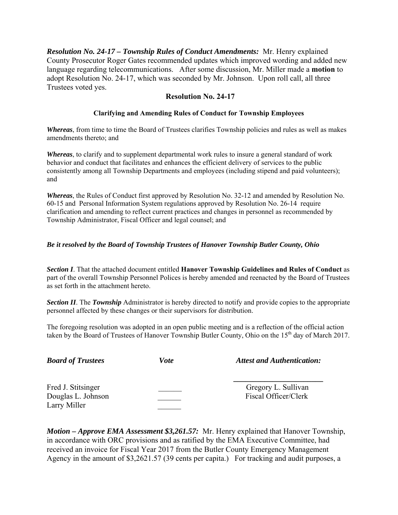*Resolution No. 24-17 – Township Rules of Conduct Amendments:* Mr. Henry explained County Prosecutor Roger Gates recommended updates which improved wording and added new language regarding telecommunications. After some discussion, Mr. Miller made a **motion** to adopt Resolution No. 24-17, which was seconded by Mr. Johnson. Upon roll call, all three Trustees voted yes.

## **Resolution No. 24-17**

## **Clarifying and Amending Rules of Conduct for Township Employees**

*Whereas*, from time to time the Board of Trustees clarifies Township policies and rules as well as makes amendments thereto; and

*Whereas*, to clarify and to supplement departmental work rules to insure a general standard of work behavior and conduct that facilitates and enhances the efficient delivery of services to the public consistently among all Township Departments and employees (including stipend and paid volunteers); and

*Whereas*, the Rules of Conduct first approved by Resolution No. 32-12 and amended by Resolution No. 60-15 and Personal Information System regulations approved by Resolution No. 26-14 require clarification and amending to reflect current practices and changes in personnel as recommended by Township Administrator, Fiscal Officer and legal counsel; and

### *Be it resolved by the Board of Township Trustees of Hanover Township Butler County, Ohio*

*Section I*. That the attached document entitled **Hanover Township Guidelines and Rules of Conduct** as part of the overall Township Personnel Polices is hereby amended and reenacted by the Board of Trustees as set forth in the attachment hereto.

*Section II*. The *Township* Administrator is hereby directed to notify and provide copies to the appropriate personnel affected by these changes or their supervisors for distribution.

The foregoing resolution was adopted in an open public meeting and is a reflection of the official action taken by the Board of Trustees of Hanover Township Butler County, Ohio on the 15<sup>th</sup> day of March 2017.

| <b>Board of Trustees</b>                                 | <i>Vote</i> | <b>Attest and Authentication:</b>           |
|----------------------------------------------------------|-------------|---------------------------------------------|
| Fred J. Stitsinger<br>Douglas L. Johnson<br>Larry Miller |             | Gregory L. Sullivan<br>Fiscal Officer/Clerk |

*Motion – Approve EMA Assessment \$3,261.57:* Mr. Henry explained that Hanover Township, in accordance with ORC provisions and as ratified by the EMA Executive Committee, had received an invoice for Fiscal Year 2017 from the Butler County Emergency Management Agency in the amount of \$3,2621.57 (39 cents per capita.) For tracking and audit purposes, a